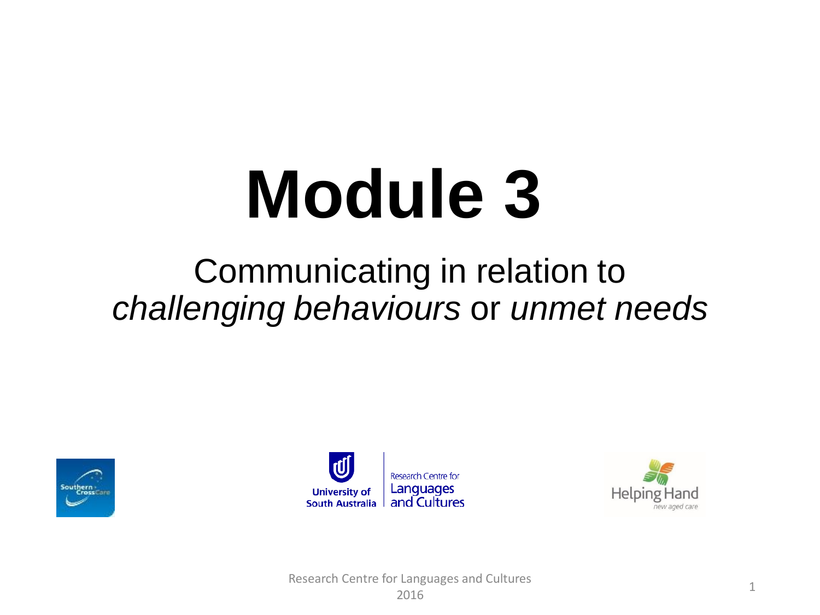# **Module 3**

#### Communicating in relation to *challenging behaviours* or *unmet needs*





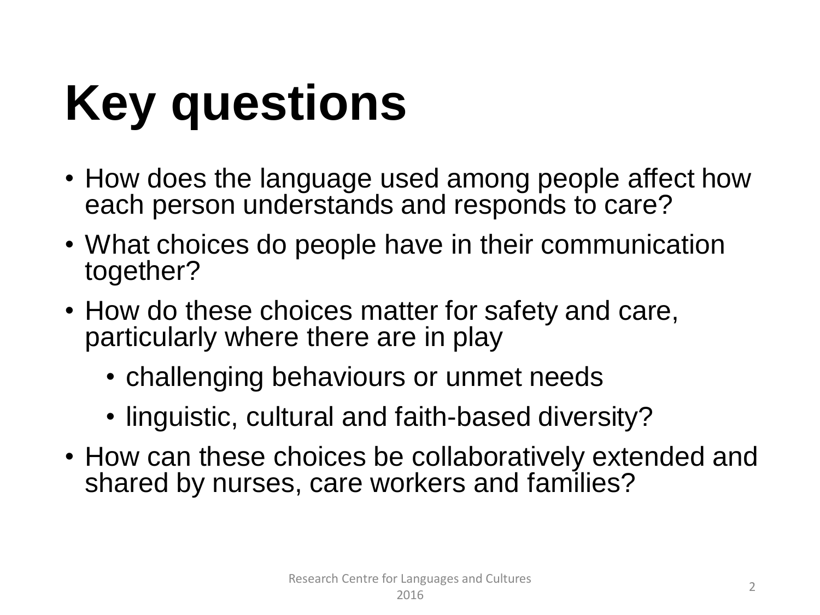# **Key questions**

- How does the language used among people affect how each person understands and responds to care?
- What choices do people have in their communication together?
- How do these choices matter for safety and care, particularly where there are in play
	- challenging behaviours or unmet needs
	- linguistic, cultural and faith-based diversity?
- How can these choices be collaboratively extended and shared by nurses, care workers and families?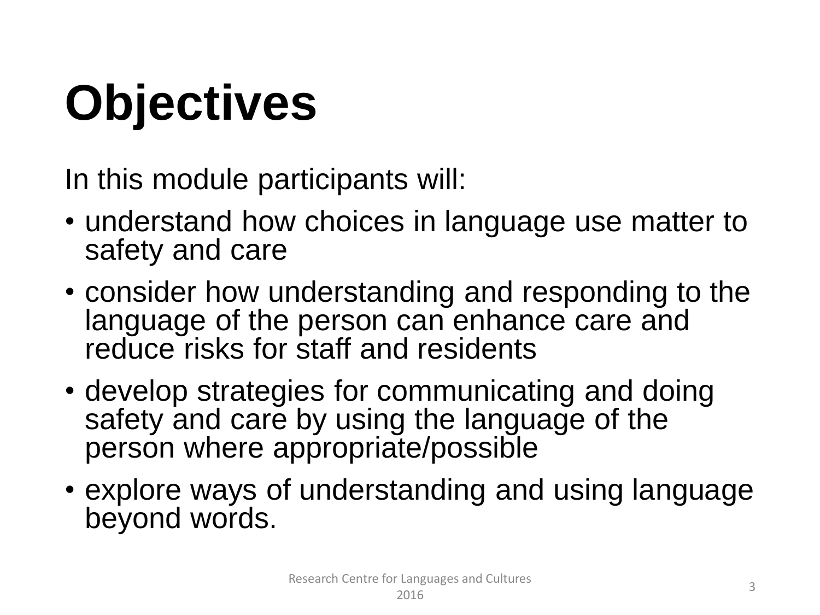# **Objectives**

In this module participants will:

- understand how choices in language use matter to safety and care
- consider how understanding and responding to the language of the person can enhance care and reduce risks for staff and residents
- develop strategies for communicating and doing safety and care by using the language of the person where appropriate/possible
- explore ways of understanding and using language beyond words.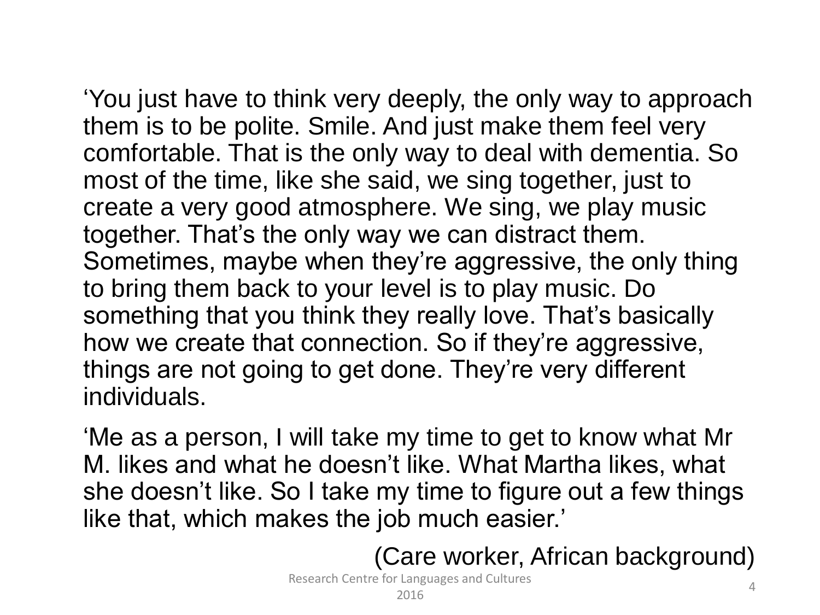'You just have to think very deeply, the only way to approach them is to be polite. Smile. And just make them feel very comfortable. That is the only way to deal with dementia. So most of the time, like she said, we sing together, just to create a very good atmosphere. We sing, we play music together. That's the only way we can distract them. Sometimes, maybe when they're aggressive, the only thing to bring them back to your level is to play music. Do something that you think they really love. That's basically how we create that connection. So if they're aggressive,

things are not going to get done. They're very different individuals.

'Me as a person, I will take my time to get to know what Mr M. likes and what he doesn't like. What Martha likes, what she doesn't like. So I take my time to figure out a few things like that, which makes the job much easier.'

(Care worker, African background)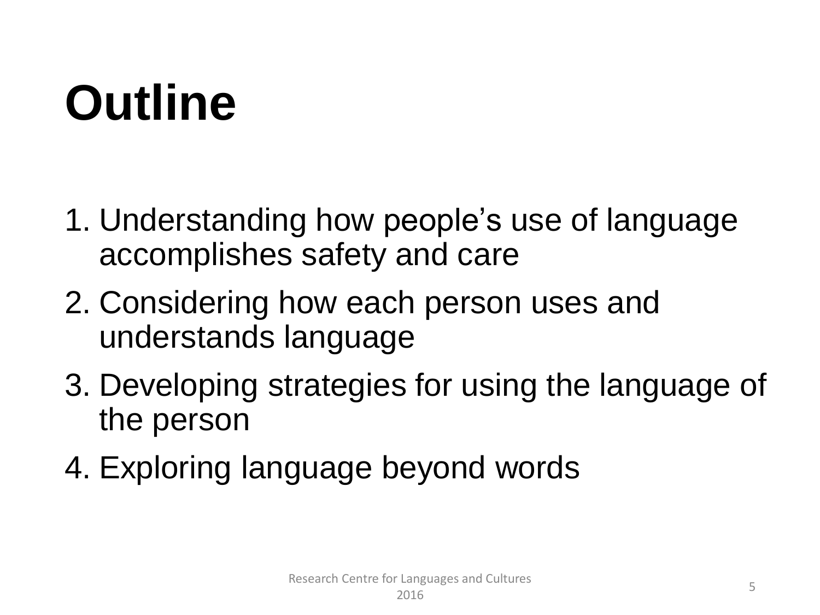## **Outline**

- 1. Understanding how people's use of language accomplishes safety and care
- 2. Considering how each person uses and understands language
- 3. Developing strategies for using the language of the person
- 4. Exploring language beyond words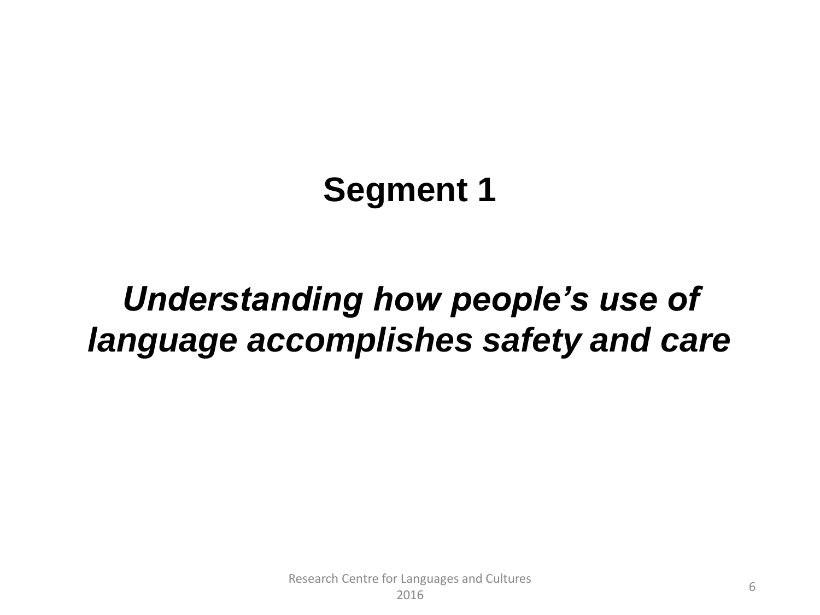#### **Segment 1**

#### *Understanding how people's use of language accomplishes safety and care*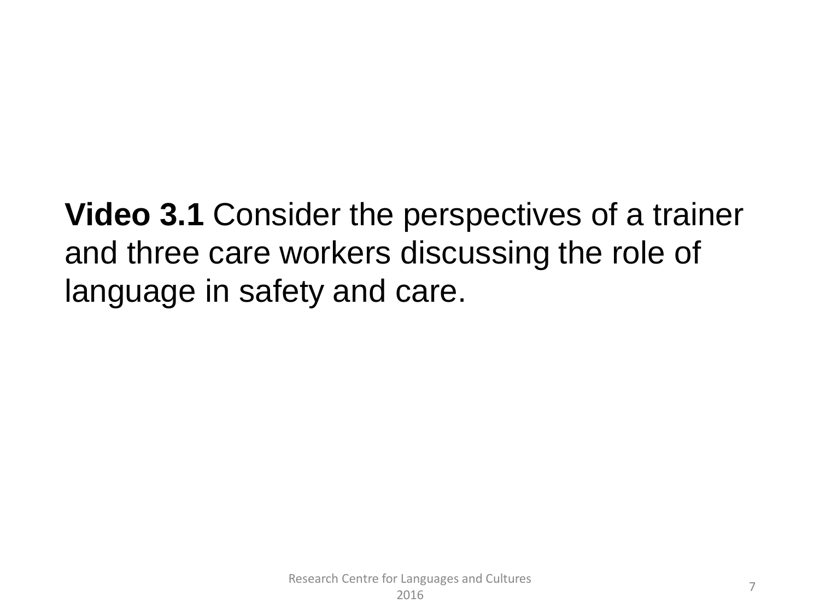**Video 3.1** Consider the perspectives of a trainer and three care workers discussing the role of language in safety and care.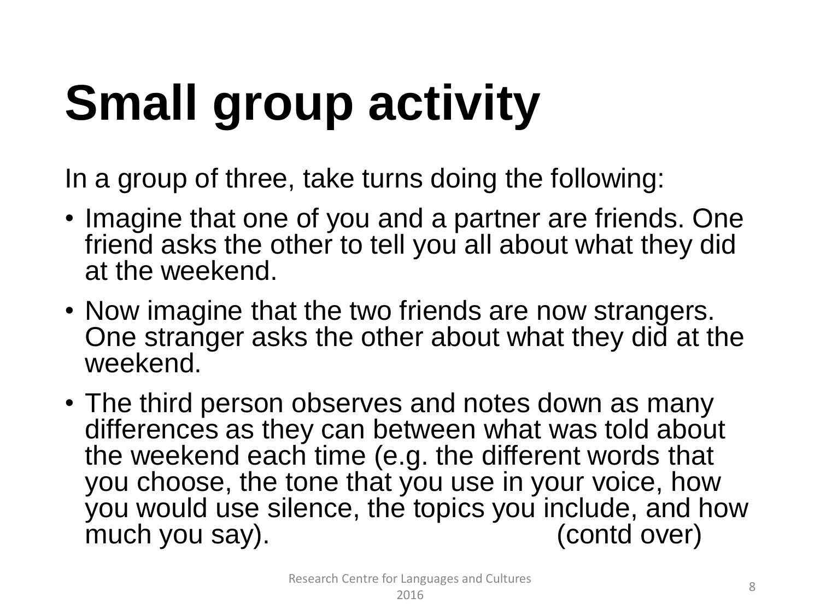# **Small group activity**

In a group of three, take turns doing the following:

- Imagine that one of you and a partner are friends. One friend asks the other to tell you all about what they did at the weekend.
- Now imagine that the two friends are now strangers. One stranger asks the other about what they did at the weekend.
- The third person observes and notes down as many differences as they can between what was told about the weekend each time (e.g. the different words that you choose, the tone that you use in your voice, how you would use silence, the topics you include, and how<br>much you say). (contd over) much you say).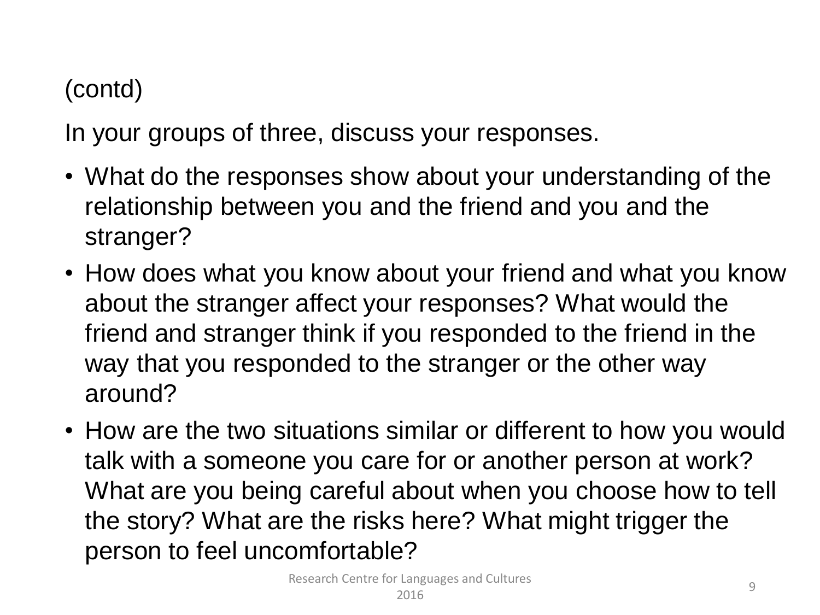#### (contd)

In your groups of three, discuss your responses.

- What do the responses show about your understanding of the relationship between you and the friend and you and the stranger?
- How does what you know about your friend and what you know about the stranger affect your responses? What would the friend and stranger think if you responded to the friend in the way that you responded to the stranger or the other way around?
- How are the two situations similar or different to how you would talk with a someone you care for or another person at work? What are you being careful about when you choose how to tell the story? What are the risks here? What might trigger the person to feel uncomfortable?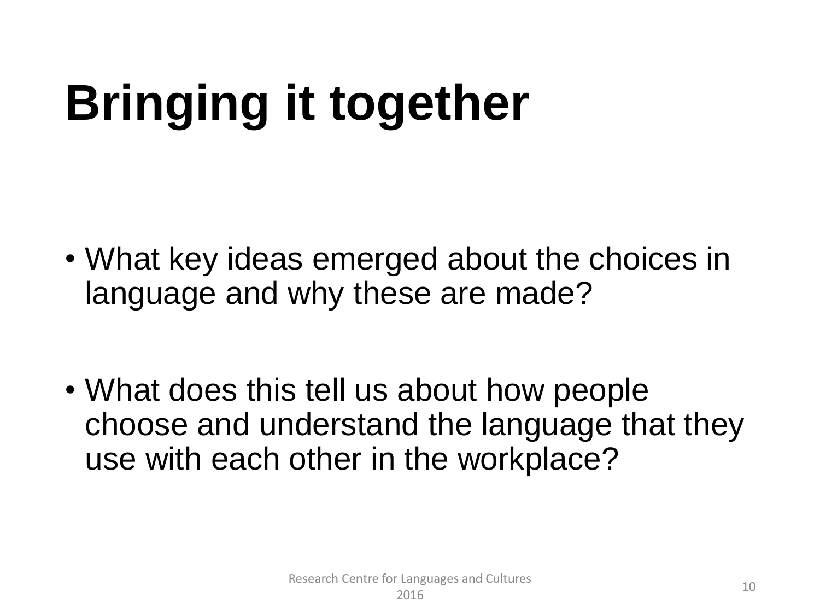# **Bringing it together**

- What key ideas emerged about the choices in language and why these are made?
- What does this tell us about how people choose and understand the language that they use with each other in the workplace?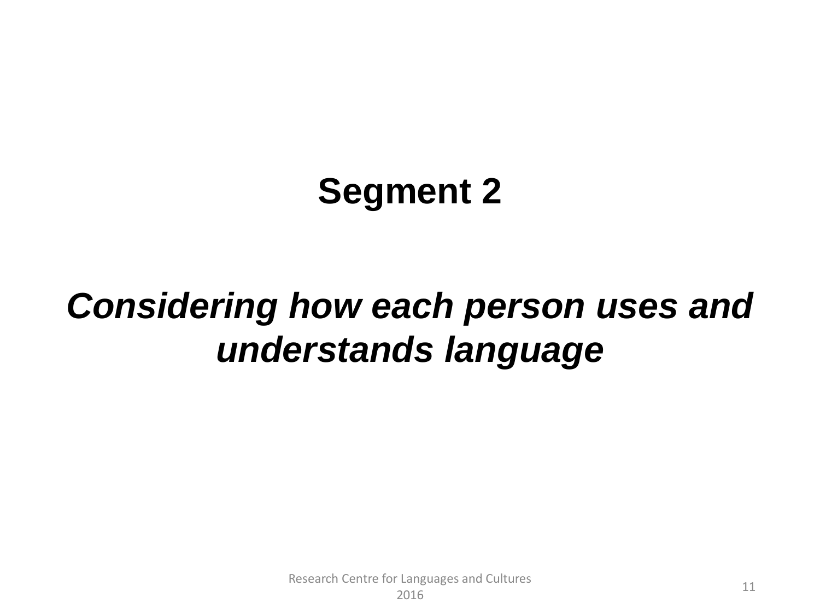## **Segment 2**

## *Considering how each person uses and understands language*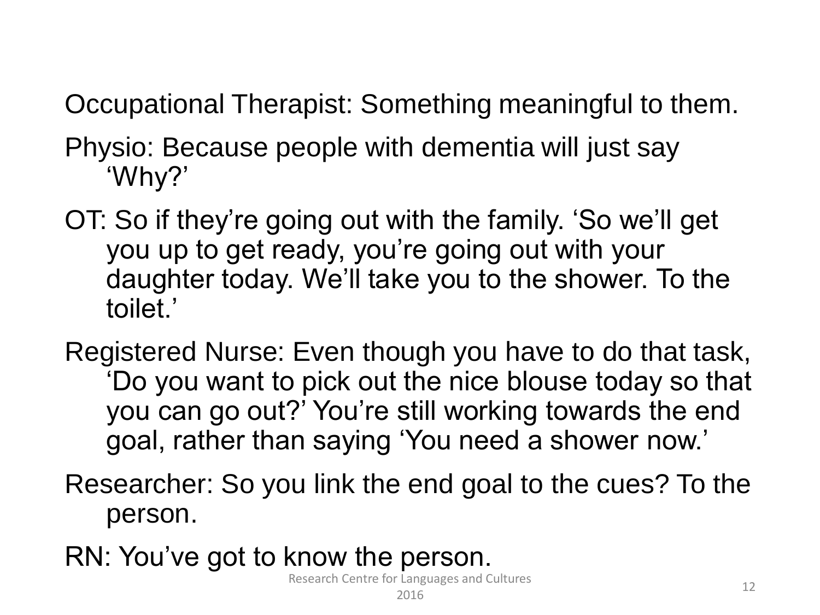Occupational Therapist: Something meaningful to them.

- Physio: Because people with dementia will just say 'Why?'
- OT: So if they're going out with the family. 'So we'll get you up to get ready, you're going out with your daughter today. We'll take you to the shower. To the toilet.'
- Registered Nurse: Even though you have to do that task, 'Do you want to pick out the nice blouse today so that you can go out?' You're still working towards the end goal, rather than saying 'You need a shower now.'
- Researcher: So you link the end goal to the cues? To the person.
- RN: You've got to know the person.

Research Centre for Languages and Cultures 2016 2018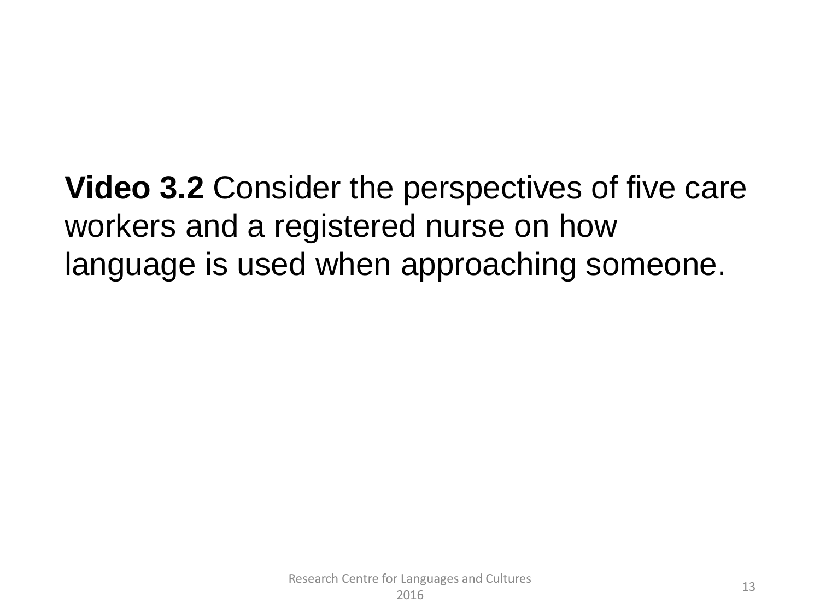**Video 3.2** Consider the perspectives of five care workers and a registered nurse on how language is used when approaching someone.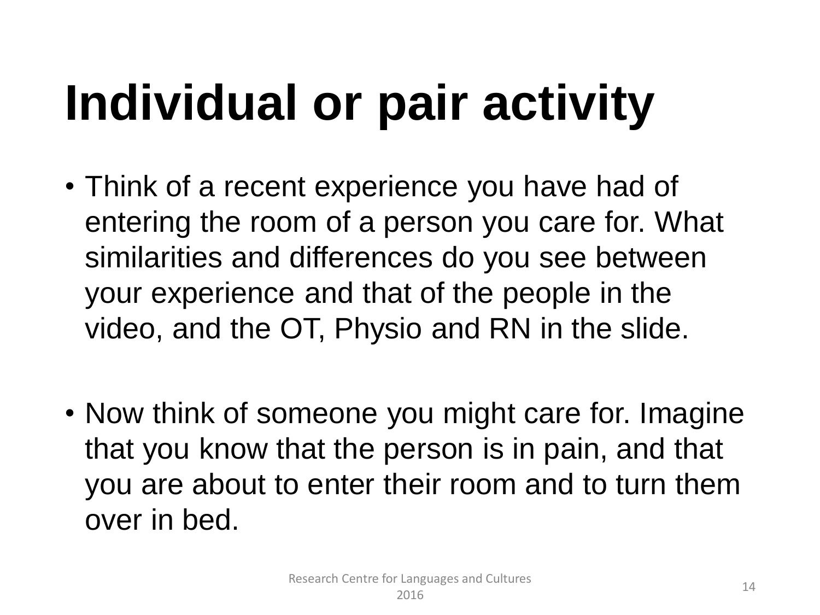# **Individual or pair activity**

- Think of a recent experience you have had of entering the room of a person you care for. What similarities and differences do you see between your experience and that of the people in the video, and the OT, Physio and RN in the slide.
- Now think of someone you might care for. Imagine that you know that the person is in pain, and that you are about to enter their room and to turn them over in bed.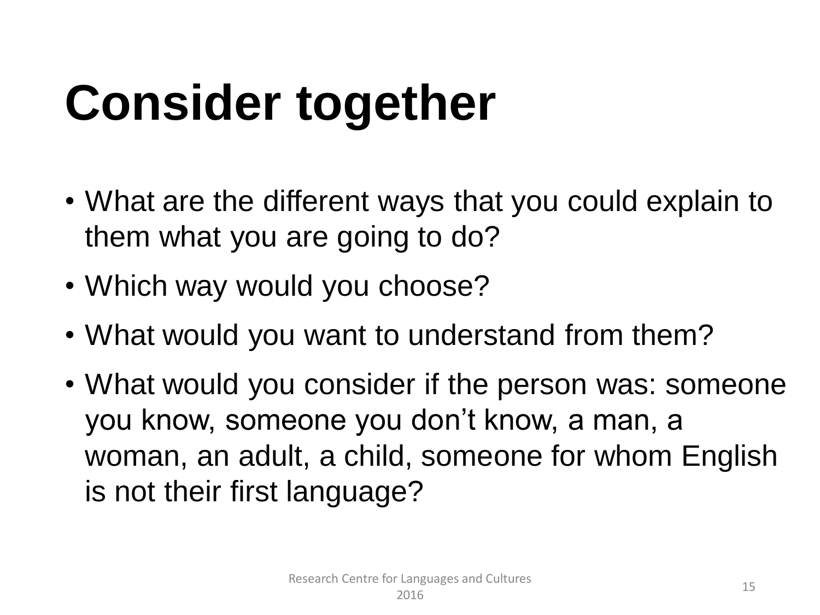# **Consider together**

- What are the different ways that you could explain to them what you are going to do?
- Which way would you choose?
- What would you want to understand from them?
- What would you consider if the person was: someone you know, someone you don't know, a man, a woman, an adult, a child, someone for whom English is not their first language?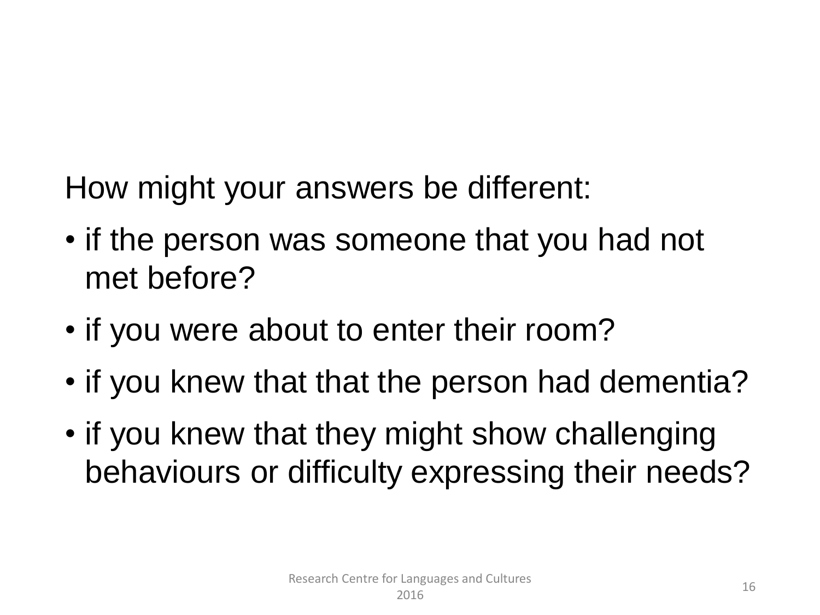How might your answers be different:

- if the person was someone that you had not met before?
- if you were about to enter their room?
- if you knew that that the person had dementia?
- if you knew that they might show challenging behaviours or difficulty expressing their needs?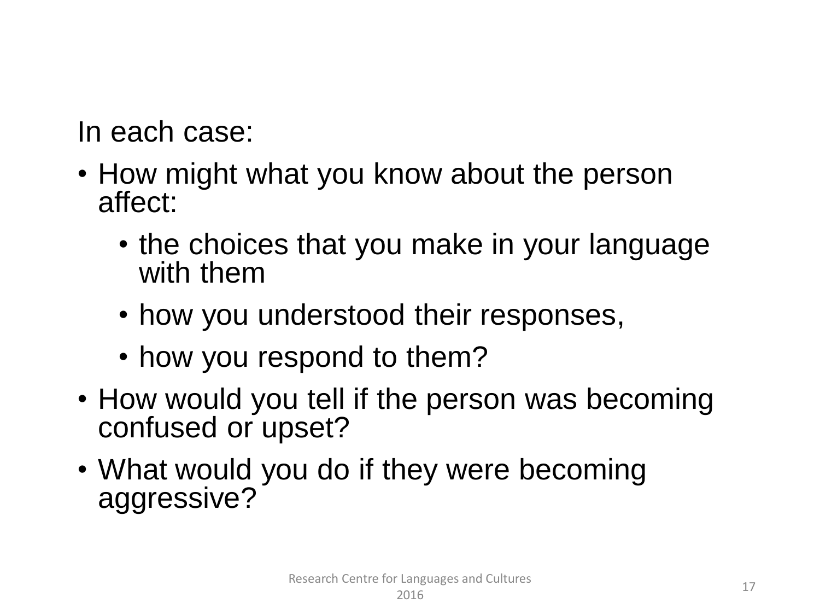In each case:

- How might what you know about the person affect:
	- the choices that you make in your language with them
	- how you understood their responses,
	- how you respond to them?
- How would you tell if the person was becoming confused or upset?
- What would you do if they were becoming aggressive?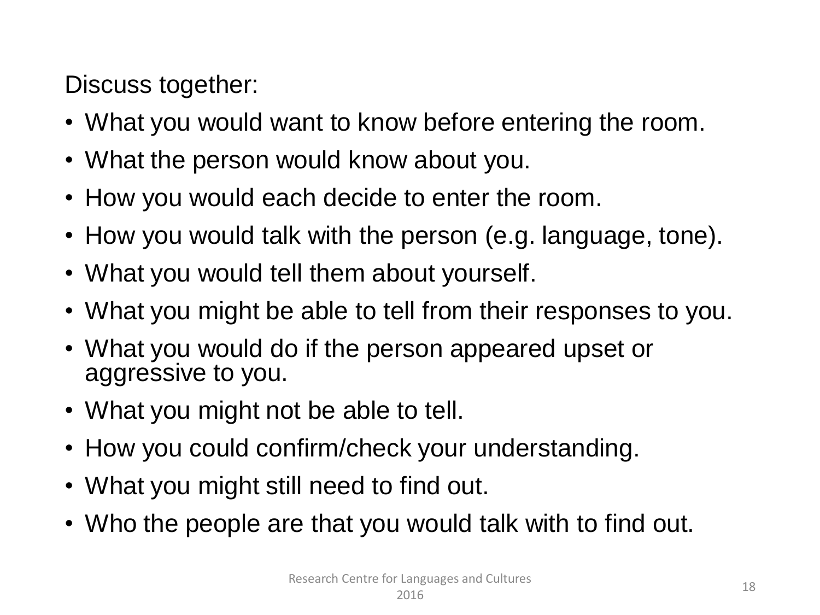Discuss together:

- What you would want to know before entering the room.
- What the person would know about you.
- How you would each decide to enter the room.
- How you would talk with the person (e.g. language, tone).
- What you would tell them about yourself.
- What you might be able to tell from their responses to you.
- What you would do if the person appeared upset or aggressive to you.
- What you might not be able to tell.
- How you could confirm/check your understanding.
- What you might still need to find out.
- Who the people are that you would talk with to find out.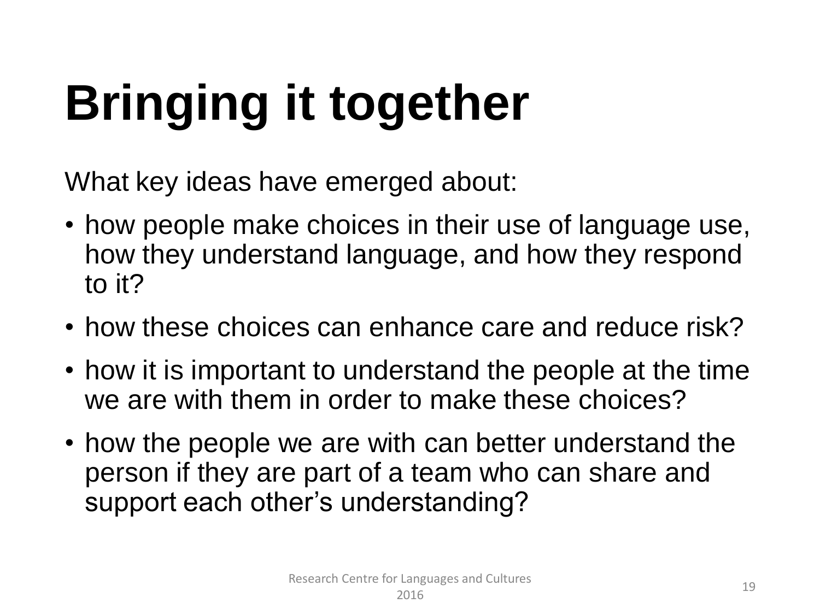# **Bringing it together**

What key ideas have emerged about:

- how people make choices in their use of language use, how they understand language, and how they respond to it?
- how these choices can enhance care and reduce risk?
- how it is important to understand the people at the time we are with them in order to make these choices?
- how the people we are with can better understand the person if they are part of a team who can share and support each other's understanding?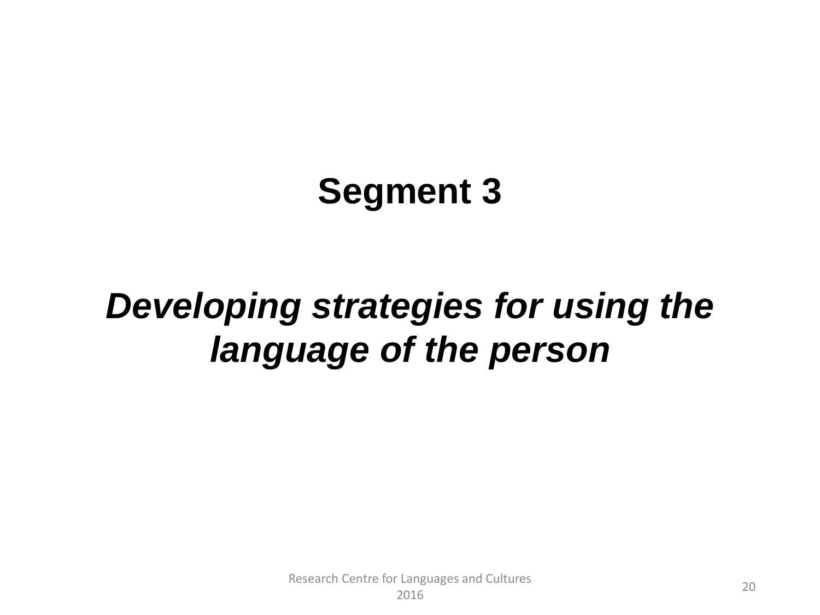## **Segment 3**

## *Developing strategies for using the language of the person*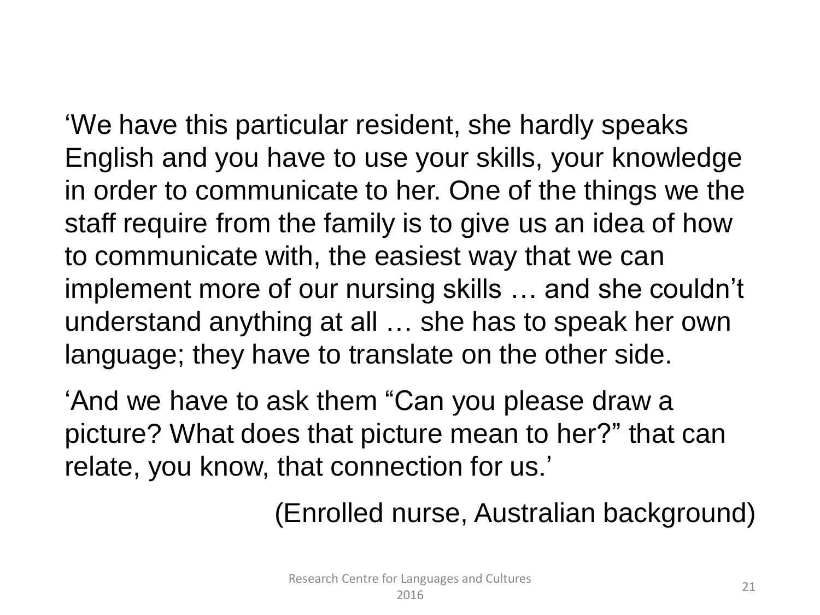'We have this particular resident, she hardly speaks English and you have to use your skills, your knowledge in order to communicate to her. One of the things we the staff require from the family is to give us an idea of how to communicate with, the easiest way that we can implement more of our nursing skills … and she couldn't understand anything at all … she has to speak her own language; they have to translate on the other side.

'And we have to ask them "Can you please draw a picture? What does that picture mean to her?" that can relate, you know, that connection for us.'

(Enrolled nurse, Australian background)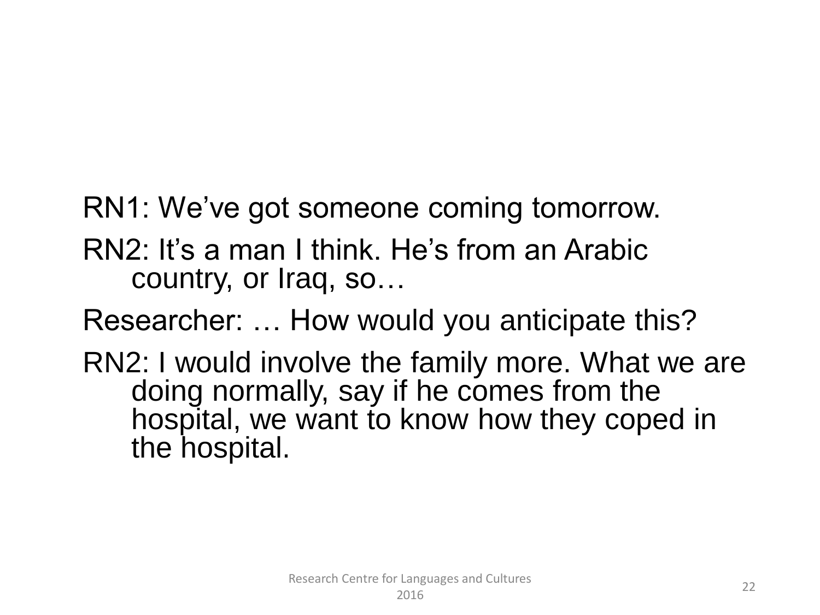RN1: We've got someone coming tomorrow.

RN2: It's a man I think. He's from an Arabic country, or Iraq, so…

Researcher: … How would you anticipate this?

RN2: I would involve the family more. What we are doing normally, say if he comes from the hospital, we want to know how they coped in the hospital.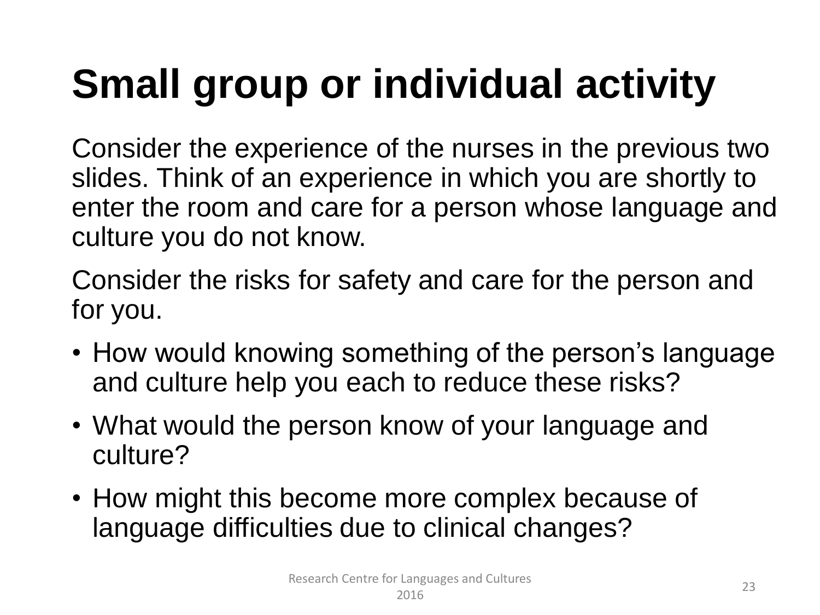## **Small group or individual activity**

Consider the experience of the nurses in the previous two slides. Think of an experience in which you are shortly to enter the room and care for a person whose language and culture you do not know.

Consider the risks for safety and care for the person and for you.

- How would knowing something of the person's language and culture help you each to reduce these risks?
- What would the person know of your language and culture?
- How might this become more complex because of language difficulties due to clinical changes?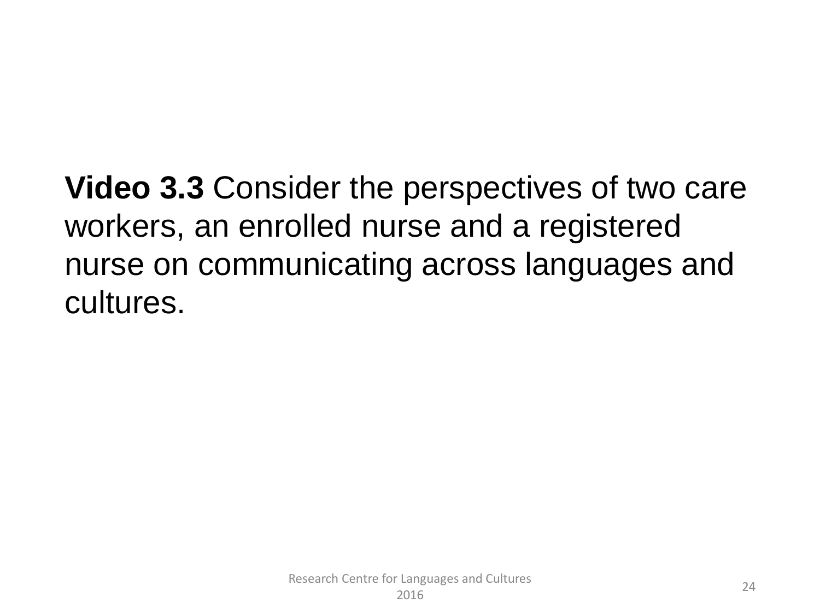**Video 3.3** Consider the perspectives of two care workers, an enrolled nurse and a registered nurse on communicating across languages and cultures.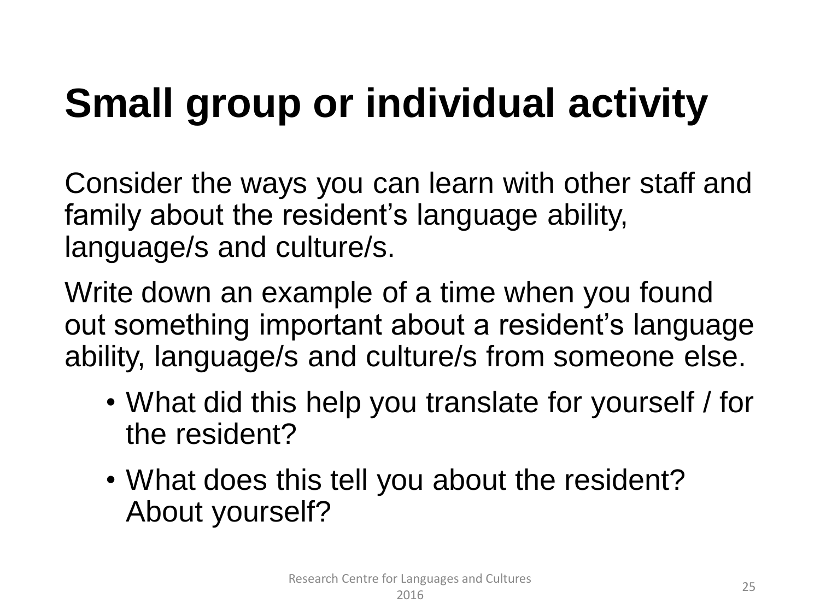## **Small group or individual activity**

Consider the ways you can learn with other staff and family about the resident's language ability, language/s and culture/s.

Write down an example of a time when you found out something important about a resident's language ability, language/s and culture/s from someone else.

- What did this help you translate for yourself / for the resident?
- What does this tell you about the resident? About yourself?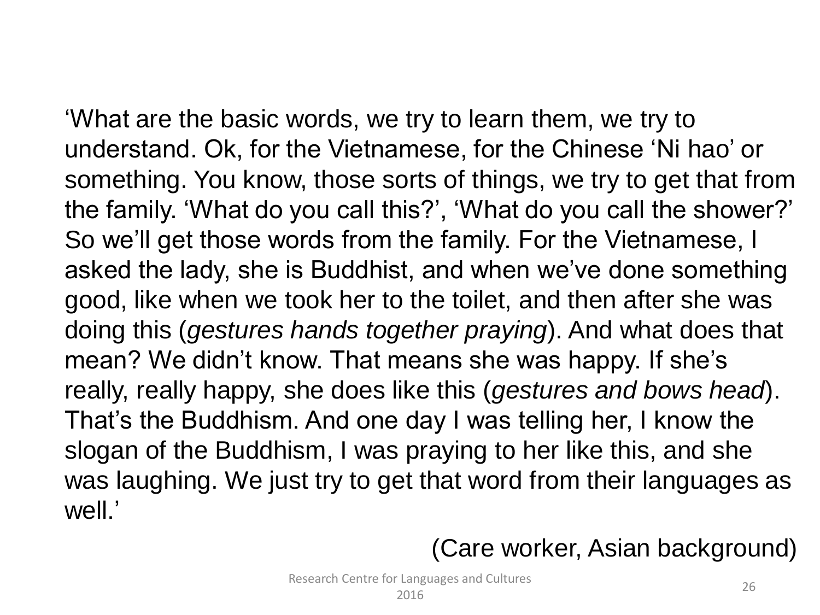'What are the basic words, we try to learn them, we try to understand. Ok, for the Vietnamese, for the Chinese 'Ni hao' or something. You know, those sorts of things, we try to get that from the family. 'What do you call this?', 'What do you call the shower?' So we'll get those words from the family. For the Vietnamese, I asked the lady, she is Buddhist, and when we've done something good, like when we took her to the toilet, and then after she was doing this (*gestures hands together praying*). And what does that mean? We didn't know. That means she was happy. If she's really, really happy, she does like this (*gestures and bows head*). That's the Buddhism. And one day I was telling her, I know the slogan of the Buddhism, I was praying to her like this, and she was laughing. We just try to get that word from their languages as well.'

(Care worker, Asian background)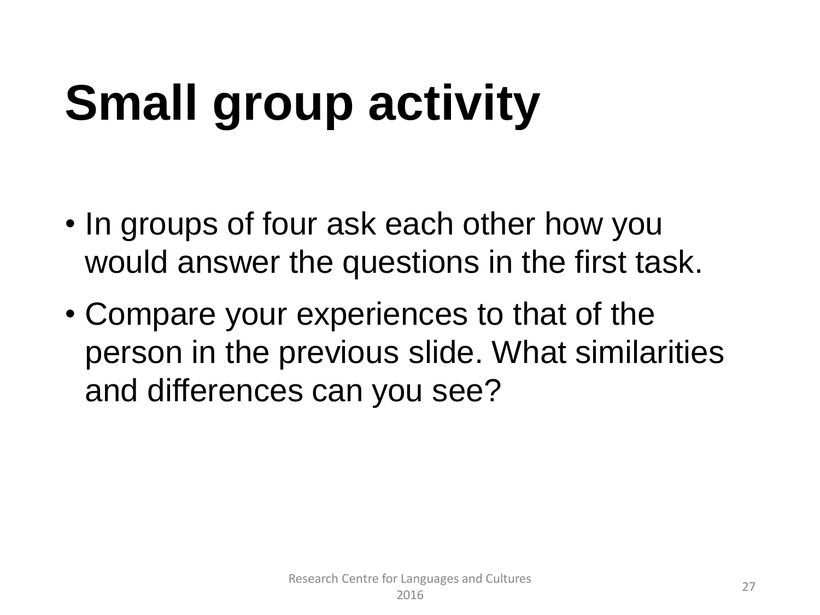# **Small group activity**

- In groups of four ask each other how you would answer the questions in the first task.
- Compare your experiences to that of the person in the previous slide. What similarities and differences can you see?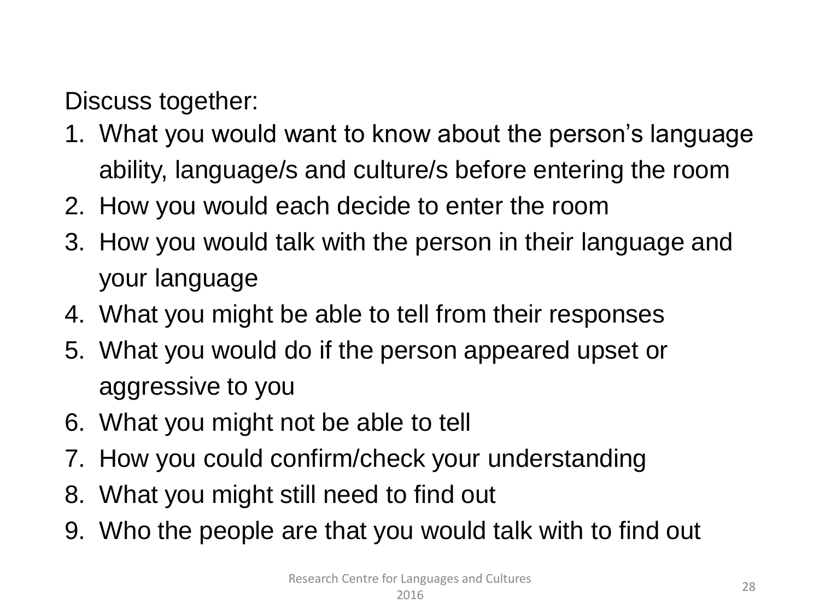Discuss together:

- 1. What you would want to know about the person's language ability, language/s and culture/s before entering the room
- 2. How you would each decide to enter the room
- 3. How you would talk with the person in their language and your language
- 4. What you might be able to tell from their responses
- 5. What you would do if the person appeared upset or aggressive to you
- 6. What you might not be able to tell
- 7. How you could confirm/check your understanding
- 8. What you might still need to find out
- 9. Who the people are that you would talk with to find out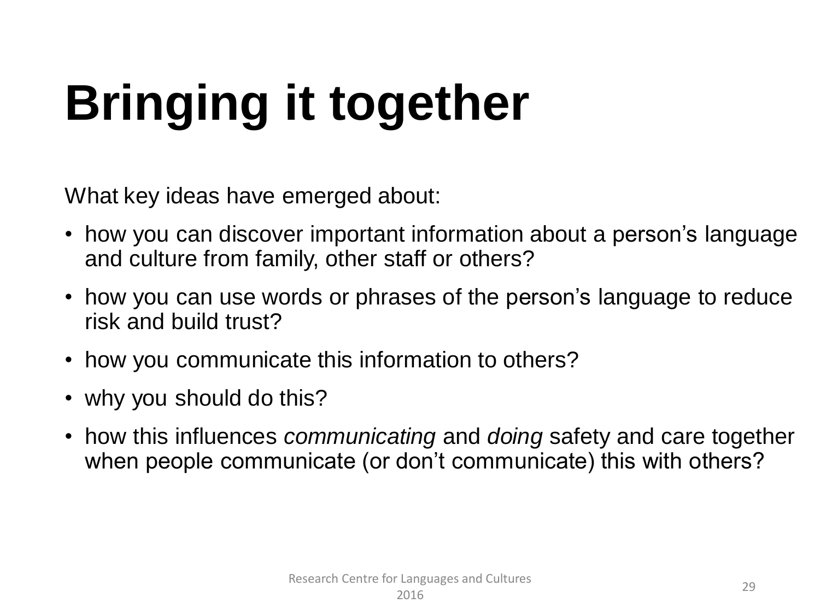# **Bringing it together**

What key ideas have emerged about:

- how you can discover important information about a person's language and culture from family, other staff or others?
- how you can use words or phrases of the person's language to reduce risk and build trust?
- how you communicate this information to others?
- why you should do this?
- how this influences *communicating* and *doing* safety and care together when people communicate (or don't communicate) this with others?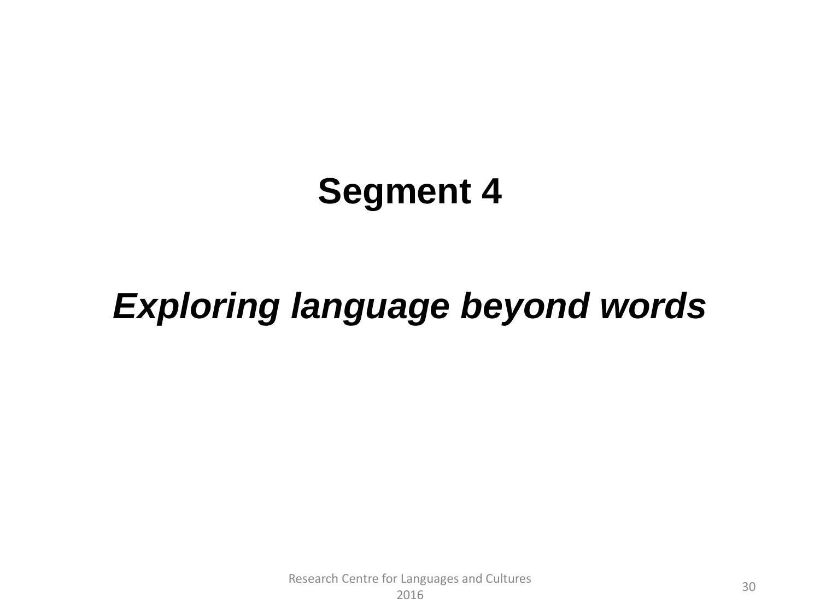## **Segment 4**

## *Exploring language beyond words*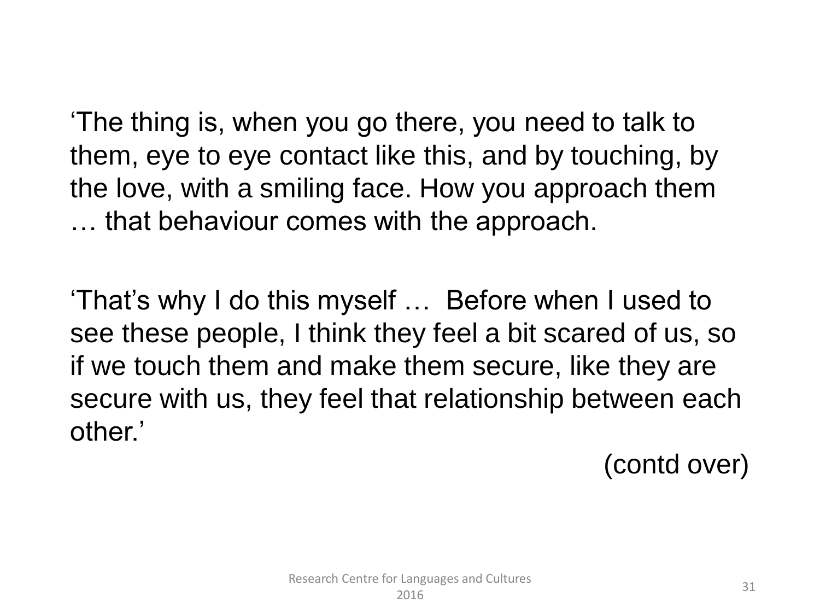'The thing is, when you go there, you need to talk to them, eye to eye contact like this, and by touching, by the love, with a smiling face. How you approach them … that behaviour comes with the approach.

'That's why I do this myself … Before when I used to see these people, I think they feel a bit scared of us, so if we touch them and make them secure, like they are secure with us, they feel that relationship between each other.'

(contd over)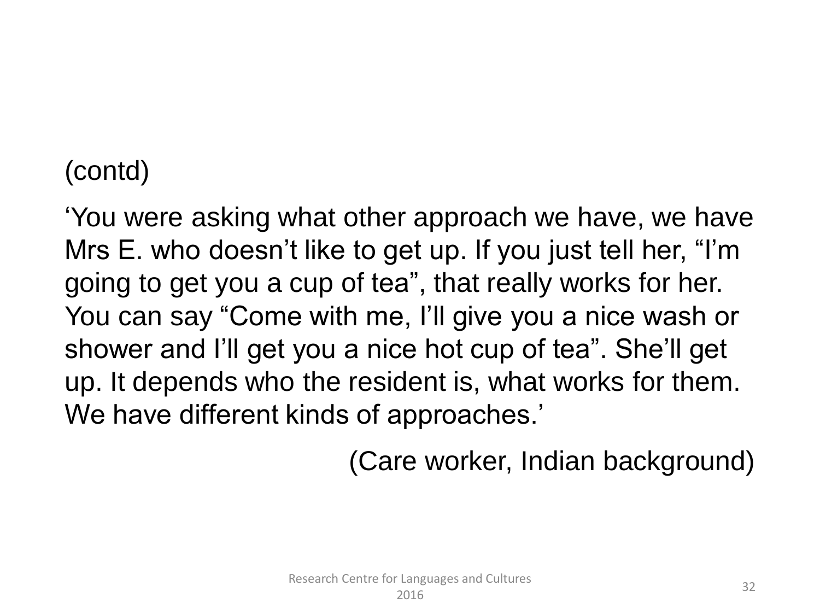#### (contd)

'You were asking what other approach we have, we have Mrs E. who doesn't like to get up. If you just tell her, "I'm going to get you a cup of tea", that really works for her. You can say "Come with me, I'll give you a nice wash or shower and I'll get you a nice hot cup of tea". She'll get up. It depends who the resident is, what works for them. We have different kinds of approaches.'

(Care worker, Indian background)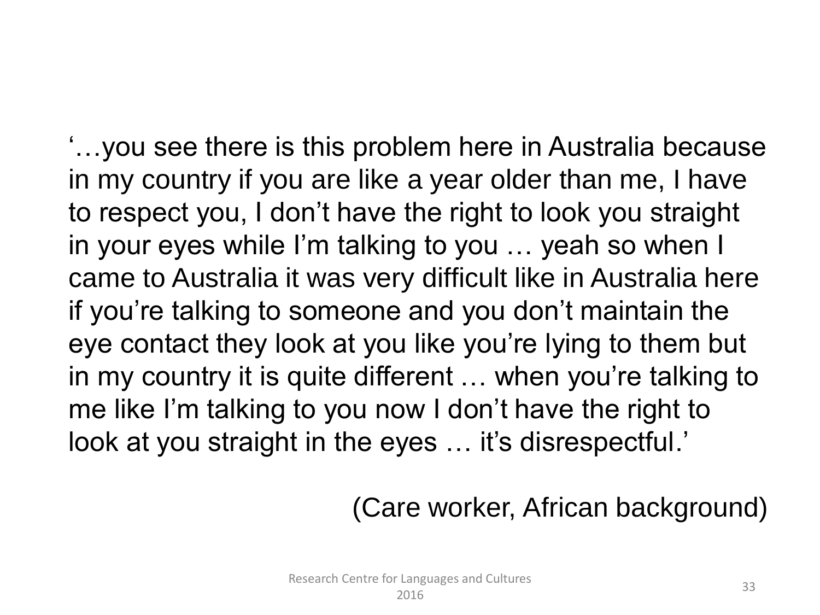'…you see there is this problem here in Australia because in my country if you are like a year older than me, I have to respect you, I don't have the right to look you straight in your eyes while I'm talking to you … yeah so when I came to Australia it was very difficult like in Australia here if you're talking to someone and you don't maintain the eye contact they look at you like you're lying to them but in my country it is quite different … when you're talking to me like I'm talking to you now I don't have the right to look at you straight in the eyes ... it's disrespectful.'

(Care worker, African background)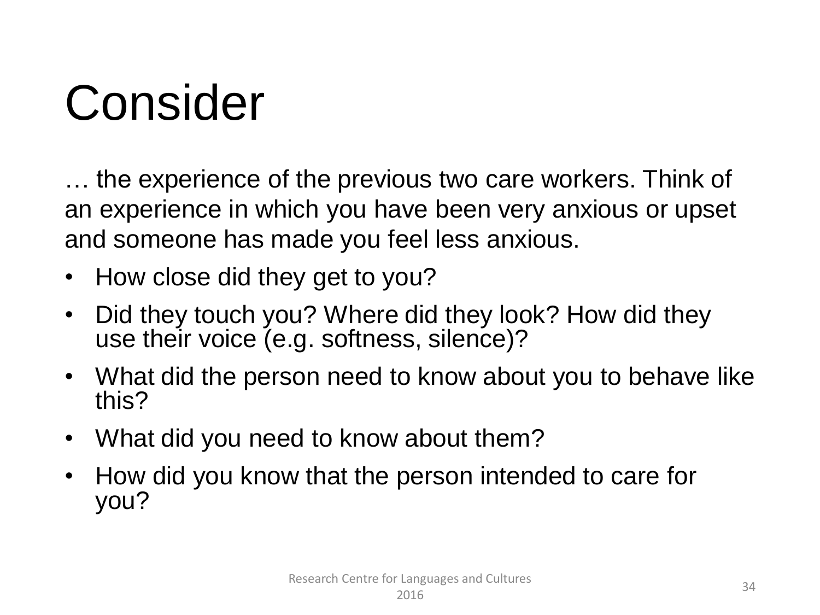## Consider

… the experience of the previous two care workers. Think of an experience in which you have been very anxious or upset and someone has made you feel less anxious.

- How close did they get to you?
- Did they touch you? Where did they look? How did they use their voice (e.g. softness, silence)?
- What did the person need to know about you to behave like this?
- What did you need to know about them?
- How did you know that the person intended to care for you?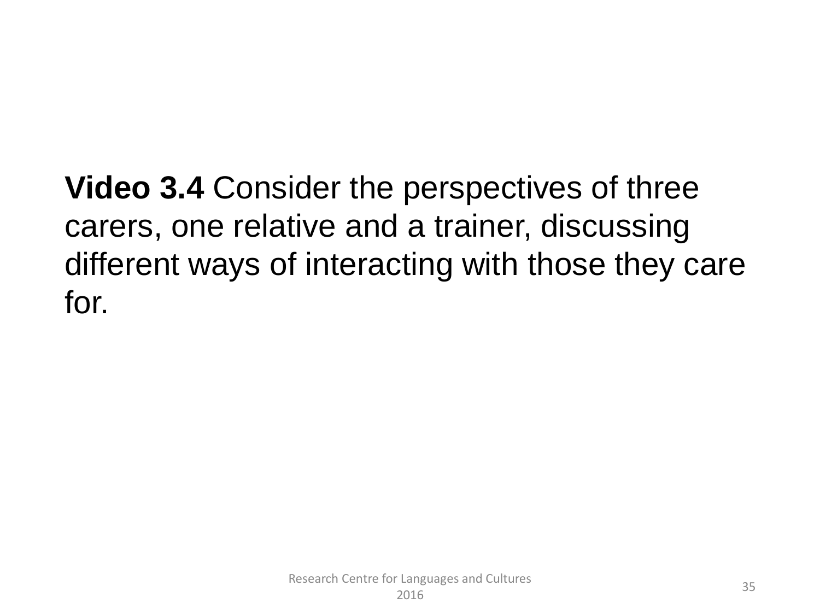**Video 3.4** Consider the perspectives of three carers, one relative and a trainer, discussing different ways of interacting with those they care for.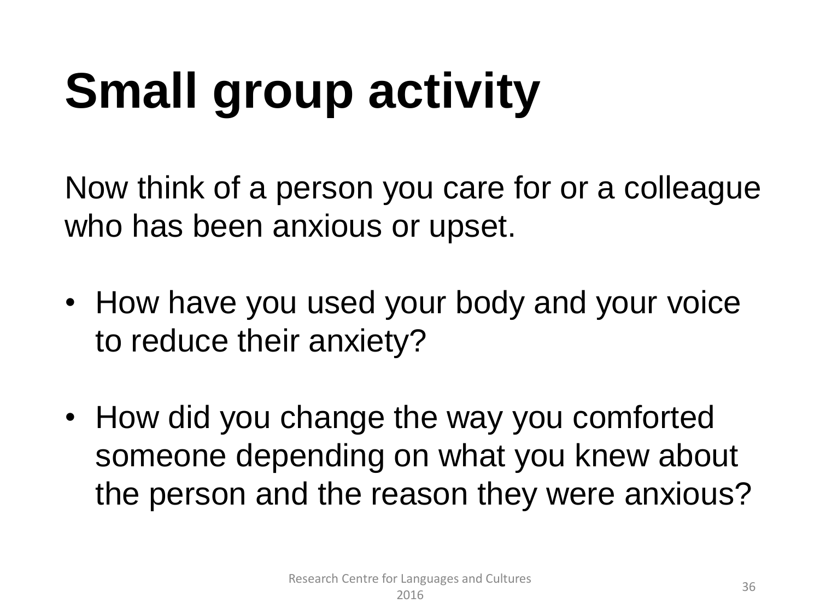# **Small group activity**

Now think of a person you care for or a colleague who has been anxious or upset.

- How have you used your body and your voice to reduce their anxiety?
- How did you change the way you comforted someone depending on what you knew about the person and the reason they were anxious?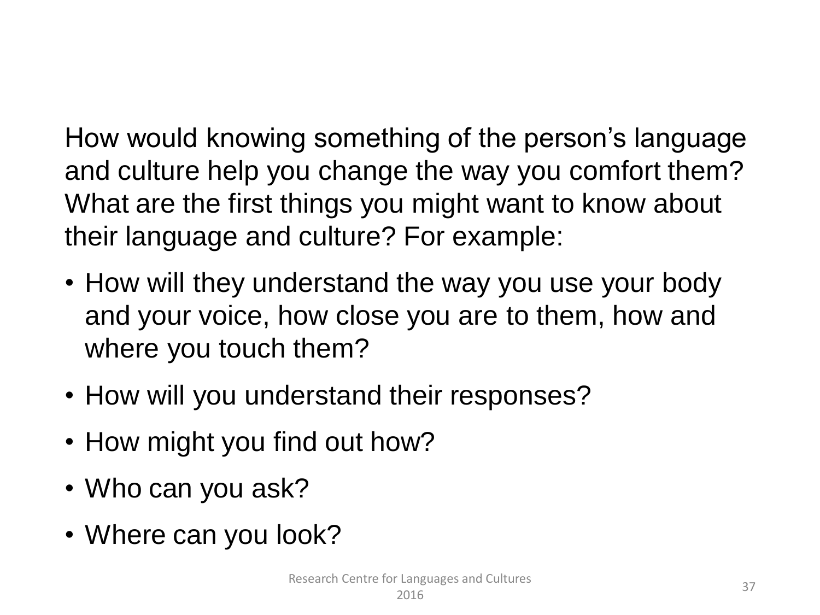How would knowing something of the person's language and culture help you change the way you comfort them? What are the first things you might want to know about their language and culture? For example:

- How will they understand the way you use your body and your voice, how close you are to them, how and where you touch them?
- How will you understand their responses?
- How might you find out how?
- Who can you ask?
- Where can you look?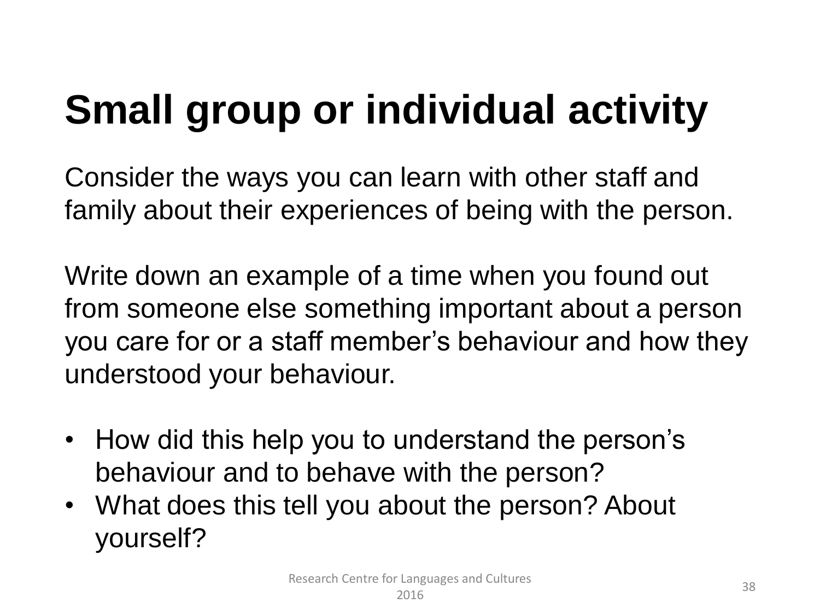## **Small group or individual activity**

Consider the ways you can learn with other staff and family about their experiences of being with the person.

Write down an example of a time when you found out from someone else something important about a person you care for or a staff member's behaviour and how they understood your behaviour.

- How did this help you to understand the person's behaviour and to behave with the person?
- What does this tell you about the person? About yourself?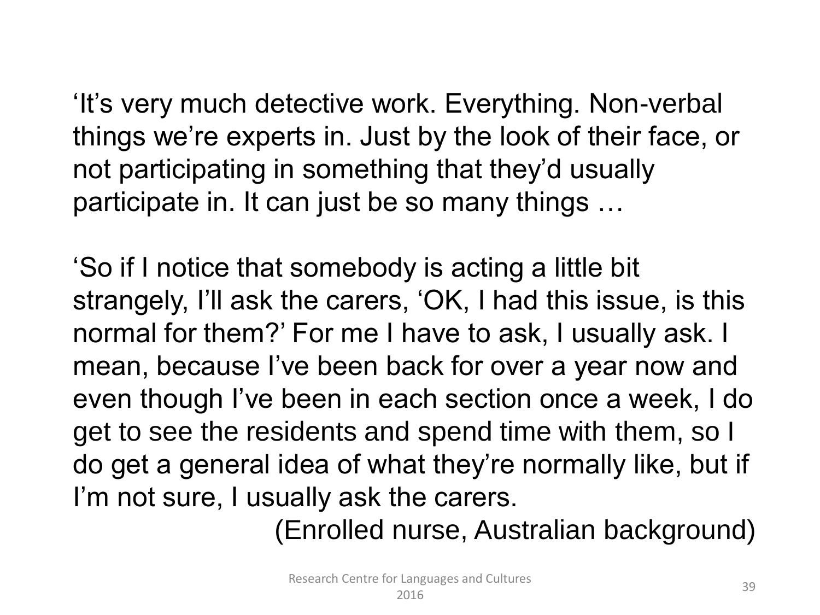'It's very much detective work. Everything. Non-verbal things we're experts in. Just by the look of their face, or not participating in something that they'd usually participate in. It can just be so many things …

'So if I notice that somebody is acting a little bit strangely, I'll ask the carers, 'OK, I had this issue, is this normal for them?' For me I have to ask, I usually ask. I mean, because I've been back for over a year now and even though I've been in each section once a week, I do get to see the residents and spend time with them, so I do get a general idea of what they're normally like, but if I'm not sure, I usually ask the carers.

(Enrolled nurse, Australian background)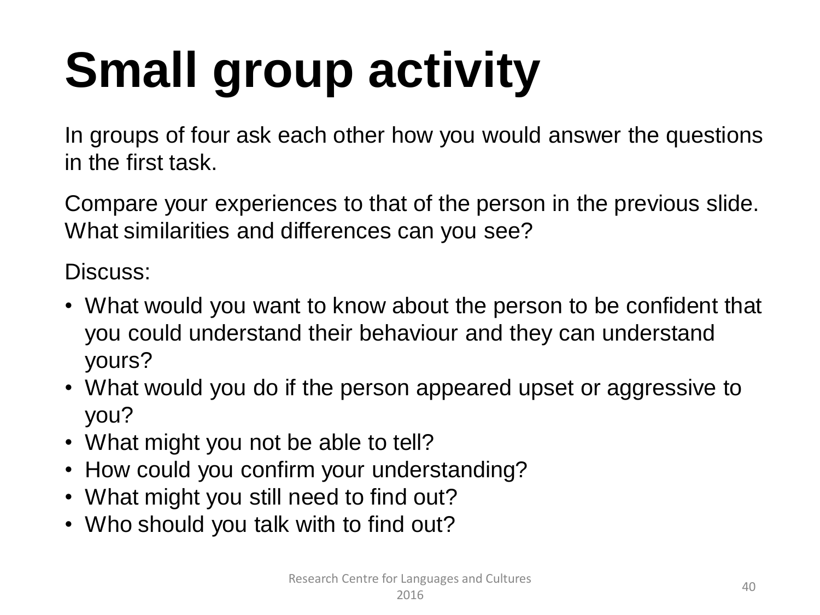# **Small group activity**

In groups of four ask each other how you would answer the questions in the first task.

Compare your experiences to that of the person in the previous slide. What similarities and differences can you see?

Discuss:

- What would you want to know about the person to be confident that you could understand their behaviour and they can understand yours?
- What would you do if the person appeared upset or aggressive to you?
- What might you not be able to tell?
- How could you confirm your understanding?
- What might you still need to find out?
- Who should you talk with to find out?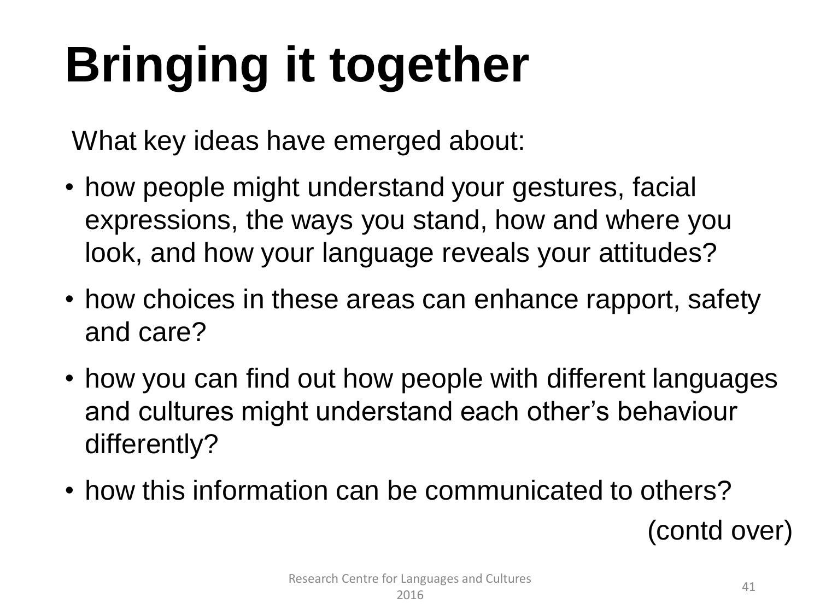# **Bringing it together**

What key ideas have emerged about:

- how people might understand your gestures, facial expressions, the ways you stand, how and where you look, and how your language reveals your attitudes?
- how choices in these areas can enhance rapport, safety and care?
- how you can find out how people with different languages and cultures might understand each other's behaviour differently?
- how this information can be communicated to others?

(contd over)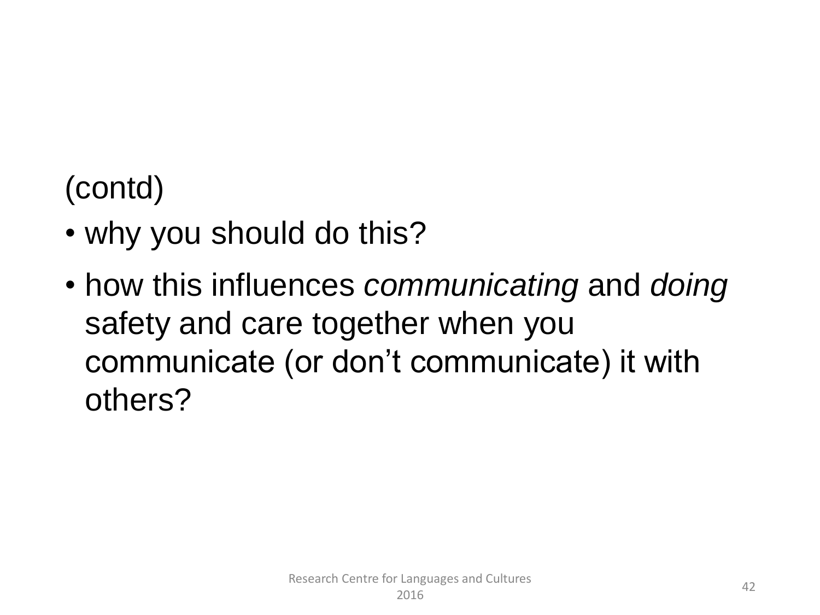## (contd)

- why you should do this?
- how this influences *communicating* and *doing*  safety and care together when you communicate (or don't communicate) it with others?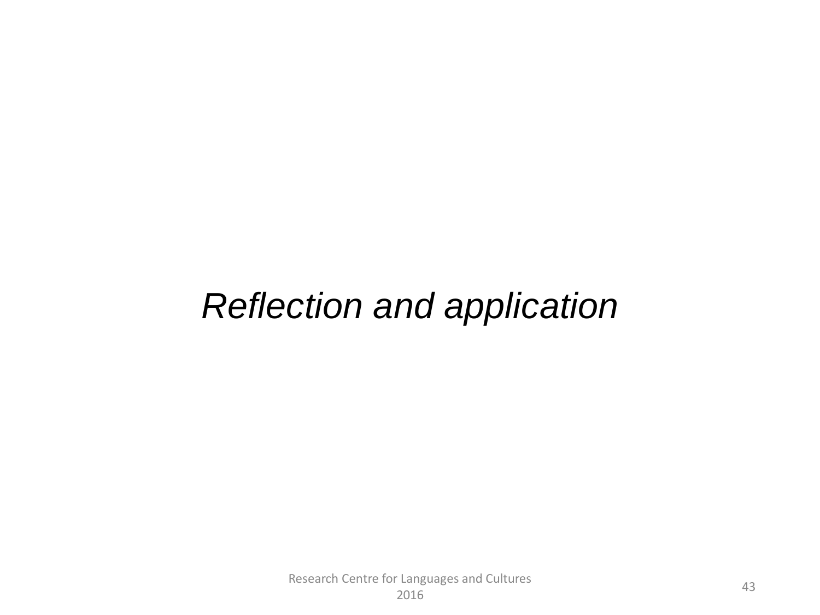#### *Reflection and application*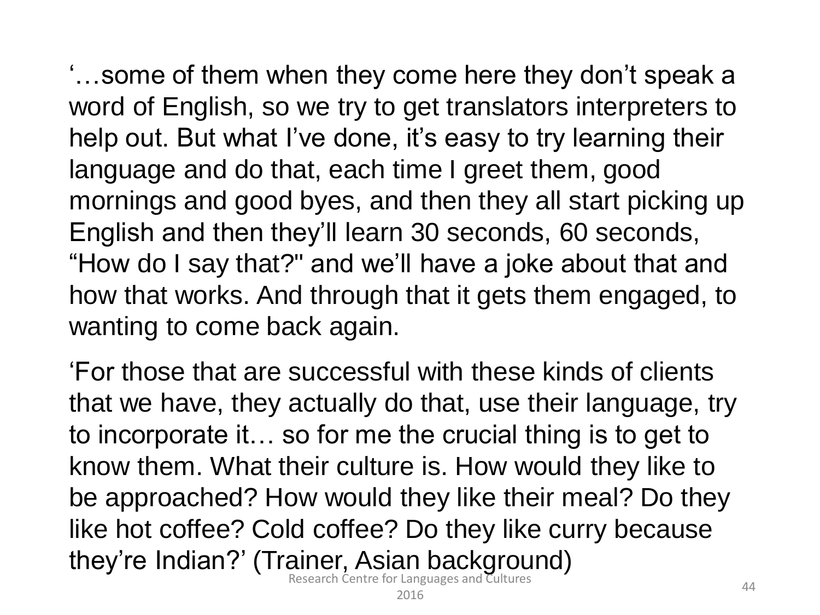'…some of them when they come here they don't speak a word of English, so we try to get translators interpreters to help out. But what I've done, it's easy to try learning their language and do that, each time I greet them, good mornings and good byes, and then they all start picking up English and then they'll learn 30 seconds, 60 seconds, "How do I say that?" and we'll have a joke about that and how that works. And through that it gets them engaged, to wanting to come back again.

'For those that are successful with these kinds of clients that we have, they actually do that, use their language, try to incorporate it… so for me the crucial thing is to get to know them. What their culture is. How would they like to be approached? How would they like their meal? Do they like hot coffee? Cold coffee? Do they like curry because they're Indian?' (Trainer, Asian background)

Research Centre for Languages and Cultures zungauges and editores and the contracts and the contracts of the contract of the contract of the contract of  $44$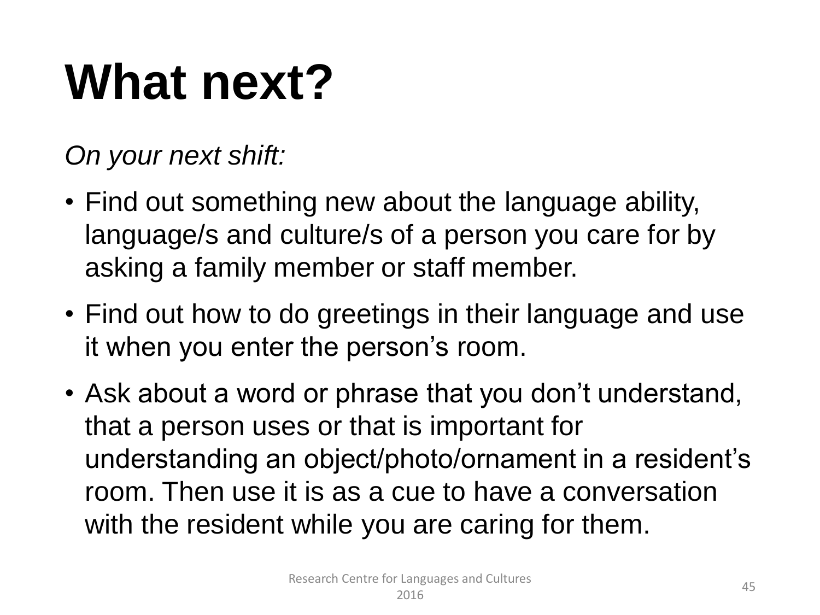## **What next?**

*On your next shift:* 

- Find out something new about the language ability, language/s and culture/s of a person you care for by asking a family member or staff member.
- Find out how to do greetings in their language and use it when you enter the person's room.
- Ask about a word or phrase that you don't understand, that a person uses or that is important for understanding an object/photo/ornament in a resident's room. Then use it is as a cue to have a conversation with the resident while you are caring for them.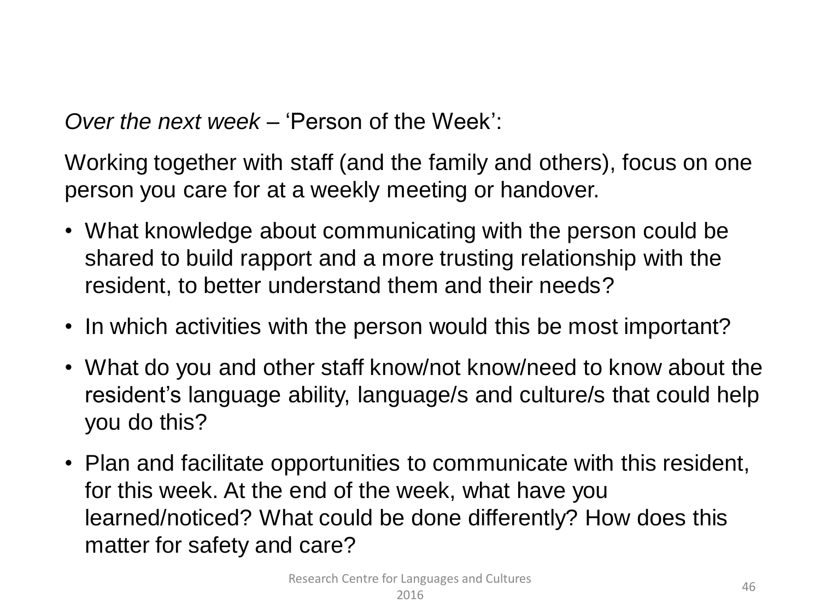*Over the next week –* 'Person of the Week':

Working together with staff (and the family and others), focus on one person you care for at a weekly meeting or handover.

- What knowledge about communicating with the person could be shared to build rapport and a more trusting relationship with the resident, to better understand them and their needs?
- In which activities with the person would this be most important?
- What do you and other staff know/not know/need to know about the resident's language ability, language/s and culture/s that could help you do this?
- Plan and facilitate opportunities to communicate with this resident, for this week. At the end of the week, what have you learned/noticed? What could be done differently? How does this matter for safety and care?